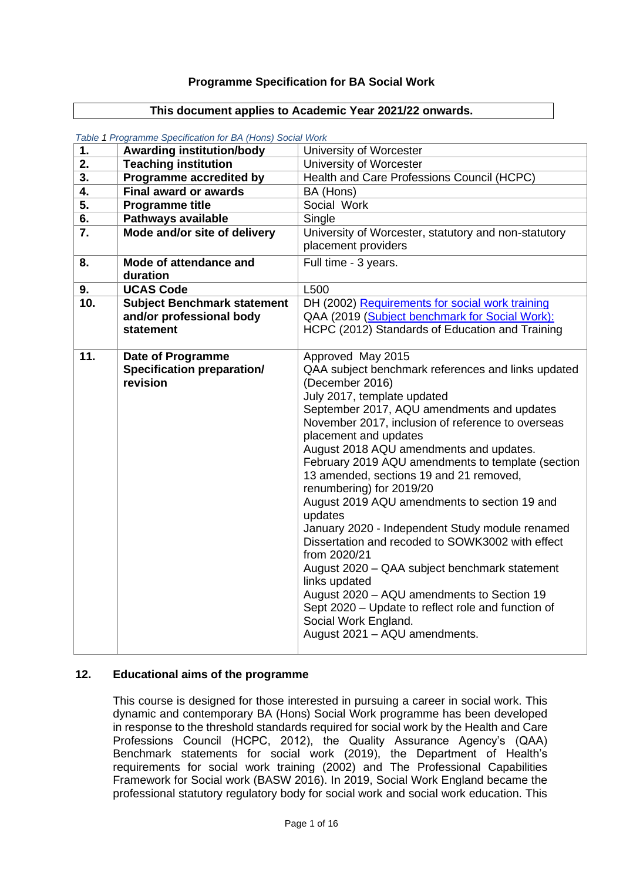### **Programme Specification for BA Social Work**

#### **This document applies to Academic Year 2021/22 onwards.**

| 1.  | <b>Awarding institution/body</b>  | University of Worcester                                                    |
|-----|-----------------------------------|----------------------------------------------------------------------------|
| 2.  | <b>Teaching institution</b>       | University of Worcester                                                    |
| 3.  | Programme accredited by           | Health and Care Professions Council (HCPC)                                 |
| 4.  | <b>Final award or awards</b>      | BA (Hons)                                                                  |
| 5.  | <b>Programme title</b>            | Social Work                                                                |
| 6.  | <b>Pathways available</b>         | Single                                                                     |
| 7.  | Mode and/or site of delivery      | University of Worcester, statutory and non-statutory                       |
|     |                                   | placement providers                                                        |
| 8.  | Mode of attendance and            | Full time - 3 years.                                                       |
|     | duration                          |                                                                            |
| 9.  | <b>UCAS Code</b>                  | L500                                                                       |
| 10. | Subject Benchmark statement       | DH (2002) Requirements for social work training                            |
|     | and/or professional body          | QAA (2019 (Subject benchmark for Social Work):                             |
|     | statement                         | HCPC (2012) Standards of Education and Training                            |
|     |                                   |                                                                            |
| 11. | <b>Date of Programme</b>          | Approved May 2015                                                          |
|     | <b>Specification preparation/</b> | QAA subject benchmark references and links updated                         |
|     | revision                          | (December 2016)                                                            |
|     |                                   | July 2017, template updated                                                |
|     |                                   | September 2017, AQU amendments and updates                                 |
|     |                                   | November 2017, inclusion of reference to overseas<br>placement and updates |
|     |                                   | August 2018 AQU amendments and updates.                                    |
|     |                                   | February 2019 AQU amendments to template (section                          |
|     |                                   | 13 amended, sections 19 and 21 removed,                                    |
|     |                                   | renumbering) for 2019/20                                                   |
|     |                                   | August 2019 AQU amendments to section 19 and                               |
|     |                                   | updates                                                                    |
|     |                                   | January 2020 - Independent Study module renamed                            |
|     |                                   | Dissertation and recoded to SOWK3002 with effect                           |
|     |                                   | from 2020/21                                                               |
|     |                                   | August 2020 - QAA subject benchmark statement                              |
|     |                                   | links updated                                                              |
|     |                                   | August 2020 - AQU amendments to Section 19                                 |
|     |                                   | Sept 2020 - Update to reflect role and function of                         |
|     |                                   | Social Work England.                                                       |
|     |                                   | August 2021 - AQU amendments.                                              |
|     |                                   |                                                                            |

*Table 1 Programme Specification for BA (Hons) Social Work*

### **12. Educational aims of the programme**

This course is designed for those interested in pursuing a career in social work. This dynamic and contemporary BA (Hons) Social Work programme has been developed in response to the threshold standards required for social work by the Health and Care Professions Council (HCPC, 2012), the Quality Assurance Agency's (QAA) Benchmark statements for social work (2019), the Department of Health's requirements for social work training (2002) and The Professional Capabilities Framework for Social work (BASW 2016). In 2019, Social Work England became the professional statutory regulatory body for social work and social work education. This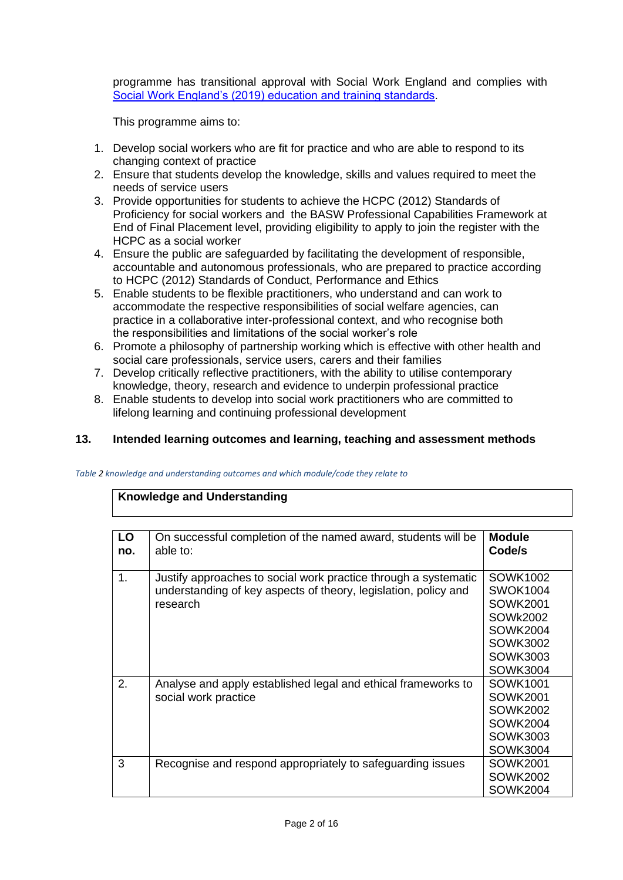programme has transitional approval with Social Work England and complies with [Social Work England's \(2019\) education and training standards.](https://www.socialworkengland.org.uk/media/1641/socialworkengland_ed-training-standards-2019_final.pdf)

This programme aims to:

- 1. Develop social workers who are fit for practice and who are able to respond to its changing context of practice
- 2. Ensure that students develop the knowledge, skills and values required to meet the needs of service users
- 3. Provide opportunities for students to achieve the HCPC (2012) Standards of Proficiency for social workers and the BASW Professional Capabilities Framework at End of Final Placement level, providing eligibility to apply to join the register with the HCPC as a social worker
- 4. Ensure the public are safeguarded by facilitating the development of responsible, accountable and autonomous professionals, who are prepared to practice according to HCPC (2012) Standards of Conduct, Performance and Ethics
- 5. Enable students to be flexible practitioners, who understand and can work to accommodate the respective responsibilities of social welfare agencies, can practice in a collaborative inter-professional context, and who recognise both the responsibilities and limitations of the social worker's role
- 6. Promote a philosophy of partnership working which is effective with other health and social care professionals, service users, carers and their families
- 7. Develop critically reflective practitioners, with the ability to utilise contemporary knowledge, theory, research and evidence to underpin professional practice
- 8. Enable students to develop into social work practitioners who are committed to lifelong learning and continuing professional development

### **13. Intended learning outcomes and learning, teaching and assessment methods**

#### *Table 2 knowledge and understanding outcomes and which module/code they relate to*

### **Knowledge and Understanding**

| LO<br>no. | On successful completion of the named award, students will be<br>able to:                                                                      | <b>Module</b><br>Code/s                                                                                           |
|-----------|------------------------------------------------------------------------------------------------------------------------------------------------|-------------------------------------------------------------------------------------------------------------------|
| 1.        | Justify approaches to social work practice through a systematic<br>understanding of key aspects of theory, legislation, policy and<br>research | SOWK1002<br><b>SWOK1004</b><br>SOWK2001<br>SOWk2002<br>SOWK2004<br>SOWK3002<br><b>SOWK3003</b><br><b>SOWK3004</b> |
| 2.        | Analyse and apply established legal and ethical frameworks to<br>social work practice                                                          | SOWK1001<br>SOWK2001<br>SOWK2002<br>SOWK2004<br>SOWK3003<br>SOWK3004                                              |
| 3         | Recognise and respond appropriately to safeguarding issues                                                                                     | SOWK2001<br><b>SOWK2002</b><br><b>SOWK2004</b>                                                                    |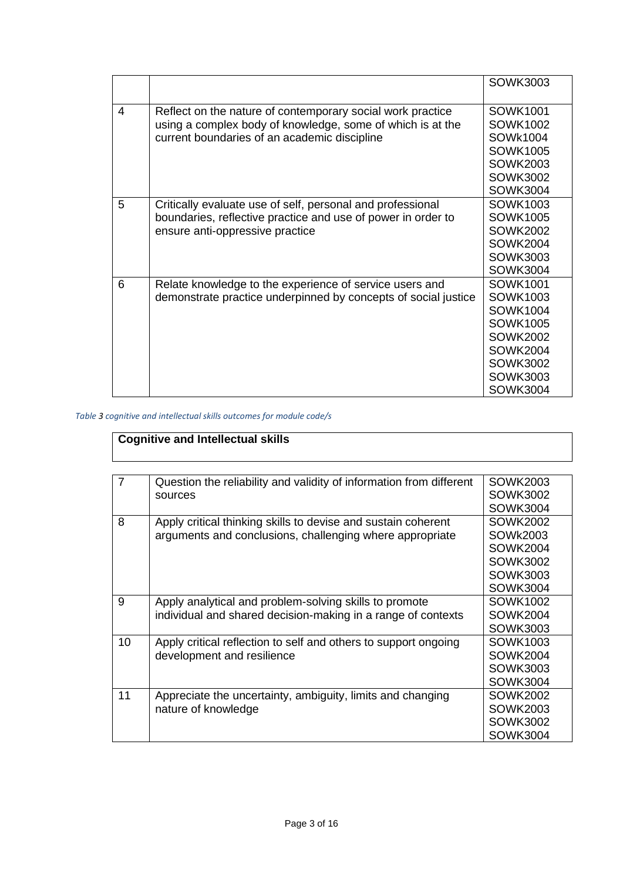|   |                                                                | <b>SOWK3003</b> |
|---|----------------------------------------------------------------|-----------------|
| 4 | Reflect on the nature of contemporary social work practice     | SOWK1001        |
|   | using a complex body of knowledge, some of which is at the     | SOWK1002        |
|   | current boundaries of an academic discipline                   | SOWk1004        |
|   |                                                                | <b>SOWK1005</b> |
|   |                                                                | <b>SOWK2003</b> |
|   |                                                                | <b>SOWK3002</b> |
|   |                                                                | <b>SOWK3004</b> |
| 5 | Critically evaluate use of self, personal and professional     | SOWK1003        |
|   | boundaries, reflective practice and use of power in order to   | <b>SOWK1005</b> |
|   | ensure anti-oppressive practice                                | <b>SOWK2002</b> |
|   |                                                                | <b>SOWK2004</b> |
|   |                                                                | <b>SOWK3003</b> |
|   |                                                                | <b>SOWK3004</b> |
| 6 | Relate knowledge to the experience of service users and        | <b>SOWK1001</b> |
|   | demonstrate practice underpinned by concepts of social justice | <b>SOWK1003</b> |
|   |                                                                | <b>SOWK1004</b> |
|   |                                                                | <b>SOWK1005</b> |
|   |                                                                | <b>SOWK2002</b> |
|   |                                                                | <b>SOWK2004</b> |
|   |                                                                | <b>SOWK3002</b> |
|   |                                                                | <b>SOWK3003</b> |
|   |                                                                | <b>SOWK3004</b> |

### *Table 3 cognitive and intellectual skills outcomes for module code/s*

# **Cognitive and Intellectual skills**

| $\overline{7}$ | Question the reliability and validity of information from different | SOWK2003        |
|----------------|---------------------------------------------------------------------|-----------------|
|                | sources                                                             | SOWK3002        |
|                |                                                                     | <b>SOWK3004</b> |
| 8              | Apply critical thinking skills to devise and sustain coherent       | <b>SOWK2002</b> |
|                | arguments and conclusions, challenging where appropriate            | SOWk2003        |
|                |                                                                     | SOWK2004        |
|                |                                                                     | <b>SOWK3002</b> |
|                |                                                                     | <b>SOWK3003</b> |
|                |                                                                     | <b>SOWK3004</b> |
| 9              | Apply analytical and problem-solving skills to promote              | <b>SOWK1002</b> |
|                | individual and shared decision-making in a range of contexts        | SOWK2004        |
|                |                                                                     | <b>SOWK3003</b> |
| 10             | Apply critical reflection to self and others to support ongoing     | SOWK1003        |
|                | development and resilience                                          | <b>SOWK2004</b> |
|                |                                                                     | <b>SOWK3003</b> |
|                |                                                                     | <b>SOWK3004</b> |
| 11             | Appreciate the uncertainty, ambiguity, limits and changing          | <b>SOWK2002</b> |
|                | nature of knowledge                                                 | <b>SOWK2003</b> |
|                |                                                                     | SOWK3002        |
|                |                                                                     | <b>SOWK3004</b> |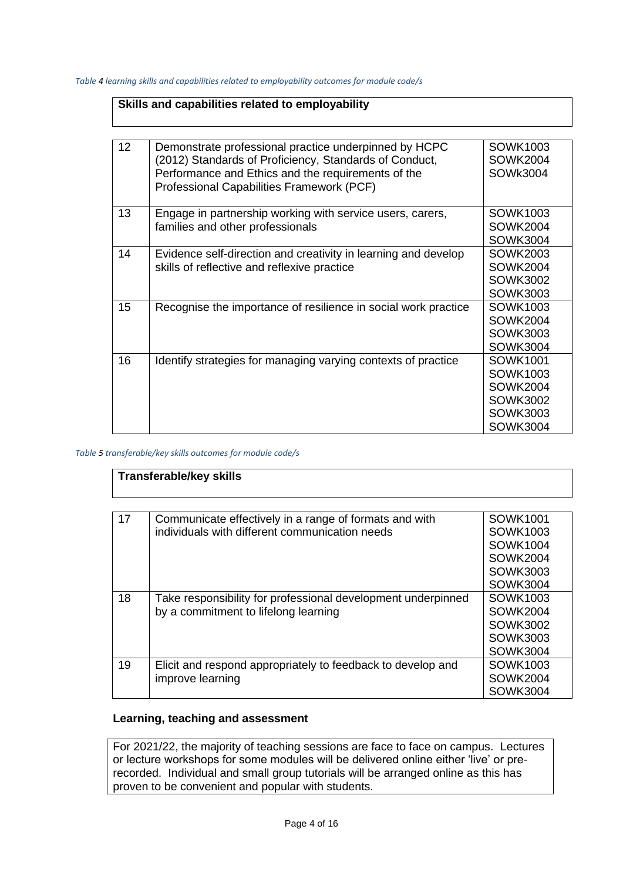*Table 4 learning skills and capabilities related to employability outcomes for module code/s*

| Skills and capabilities related to employability |                                                                                                                                                                                                                    |                                                                                                         |
|--------------------------------------------------|--------------------------------------------------------------------------------------------------------------------------------------------------------------------------------------------------------------------|---------------------------------------------------------------------------------------------------------|
| 12 <sup>2</sup>                                  | Demonstrate professional practice underpinned by HCPC<br>(2012) Standards of Proficiency, Standards of Conduct,<br>Performance and Ethics and the requirements of the<br>Professional Capabilities Framework (PCF) | SOWK1003<br><b>SOWK2004</b><br>SOWk3004                                                                 |
| 13                                               | Engage in partnership working with service users, carers,<br>families and other professionals                                                                                                                      | SOWK1003<br>SOWK2004<br><b>SOWK3004</b>                                                                 |
| 14                                               | Evidence self-direction and creativity in learning and develop<br>skills of reflective and reflexive practice                                                                                                      | SOWK2003<br><b>SOWK2004</b><br><b>SOWK3002</b><br><b>SOWK3003</b>                                       |
| 15                                               | Recognise the importance of resilience in social work practice                                                                                                                                                     | SOWK1003<br><b>SOWK2004</b><br><b>SOWK3003</b><br><b>SOWK3004</b>                                       |
| 16                                               | Identify strategies for managing varying contexts of practice                                                                                                                                                      | <b>SOWK1001</b><br>SOWK1003<br><b>SOWK2004</b><br><b>SOWK3002</b><br><b>SOWK3003</b><br><b>SOWK3004</b> |

*Table 5 transferable/key skills outcomes for module code/s*

| <b>Transferable/key skills</b> |                                                                                                          |                                                                        |
|--------------------------------|----------------------------------------------------------------------------------------------------------|------------------------------------------------------------------------|
| 17                             | Communicate effectively in a range of formats and with<br>individuals with different communication needs | SOWK1001                                                               |
|                                |                                                                                                          | SOWK1003<br>SOWK1004<br><b>SOWK2004</b>                                |
|                                |                                                                                                          | <b>SOWK3003</b><br>SOWK3004                                            |
| 18                             | Take responsibility for professional development underpinned<br>by a commitment to lifelong learning     | SOWK1003<br>SOWK2004<br><b>SOWK3002</b><br><b>SOWK3003</b><br>SOWK3004 |
| 19                             | Elicit and respond appropriately to feedback to develop and<br>improve learning                          | SOWK1003<br><b>SOWK2004</b><br><b>SOWK3004</b>                         |

# **Learning, teaching and assessment**

For 2021/22, the majority of teaching sessions are face to face on campus. Lectures or lecture workshops for some modules will be delivered online either 'live' or prerecorded. Individual and small group tutorials will be arranged online as this has proven to be convenient and popular with students.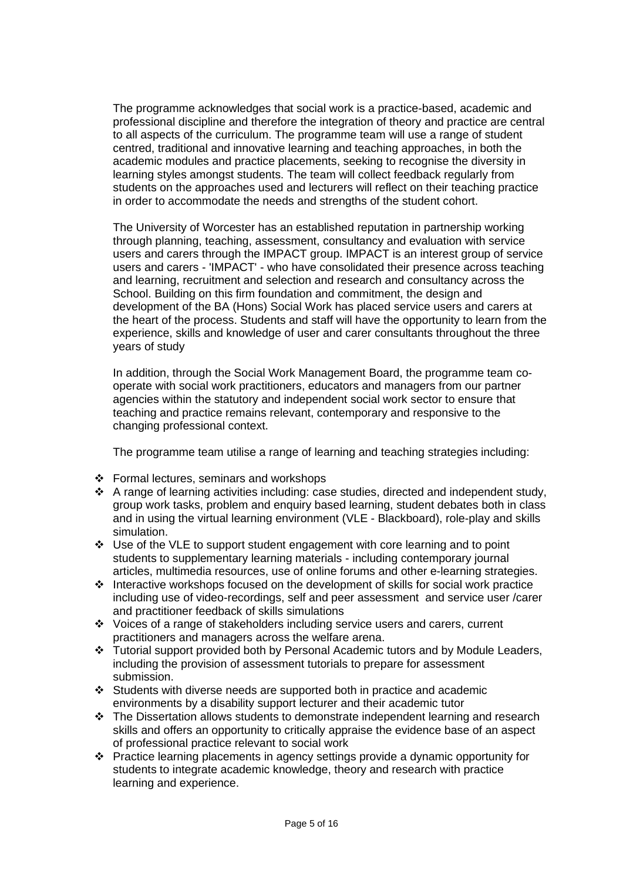The programme acknowledges that social work is a practice-based, academic and professional discipline and therefore the integration of theory and practice are central to all aspects of the curriculum. The programme team will use a range of student centred, traditional and innovative learning and teaching approaches, in both the academic modules and practice placements, seeking to recognise the diversity in learning styles amongst students. The team will collect feedback regularly from students on the approaches used and lecturers will reflect on their teaching practice in order to accommodate the needs and strengths of the student cohort.

The University of Worcester has an established reputation in partnership working through planning, teaching, assessment, consultancy and evaluation with service users and carers through the IMPACT group. IMPACT is an interest group of service users and carers - 'IMPACT' - who have consolidated their presence across teaching and learning, recruitment and selection and research and consultancy across the School. Building on this firm foundation and commitment, the design and development of the BA (Hons) Social Work has placed service users and carers at the heart of the process. Students and staff will have the opportunity to learn from the experience, skills and knowledge of user and carer consultants throughout the three years of study

In addition, through the Social Work Management Board, the programme team cooperate with social work practitioners, educators and managers from our partner agencies within the statutory and independent social work sector to ensure that teaching and practice remains relevant, contemporary and responsive to the changing professional context.

The programme team utilise a range of learning and teaching strategies including:

- ❖ Formal lectures, seminars and workshops
- ❖ A range of learning activities including: case studies, directed and independent study, group work tasks, problem and enquiry based learning, student debates both in class and in using the virtual learning environment (VLE - Blackboard), role-play and skills simulation.
- ❖ Use of the VLE to support student engagement with core learning and to point students to supplementary learning materials - including contemporary journal articles, multimedia resources, use of online forums and other e-learning strategies.
- ❖ Interactive workshops focused on the development of skills for social work practice including use of video-recordings, self and peer assessment and service user /carer and practitioner feedback of skills simulations
- ❖ Voices of a range of stakeholders including service users and carers, current practitioners and managers across the welfare arena.
- ❖ Tutorial support provided both by Personal Academic tutors and by Module Leaders, including the provision of assessment tutorials to prepare for assessment submission.
- ❖ Students with diverse needs are supported both in practice and academic environments by a disability support lecturer and their academic tutor
- ❖ The Dissertation allows students to demonstrate independent learning and research skills and offers an opportunity to critically appraise the evidence base of an aspect of professional practice relevant to social work
- ❖ Practice learning placements in agency settings provide a dynamic opportunity for students to integrate academic knowledge, theory and research with practice learning and experience.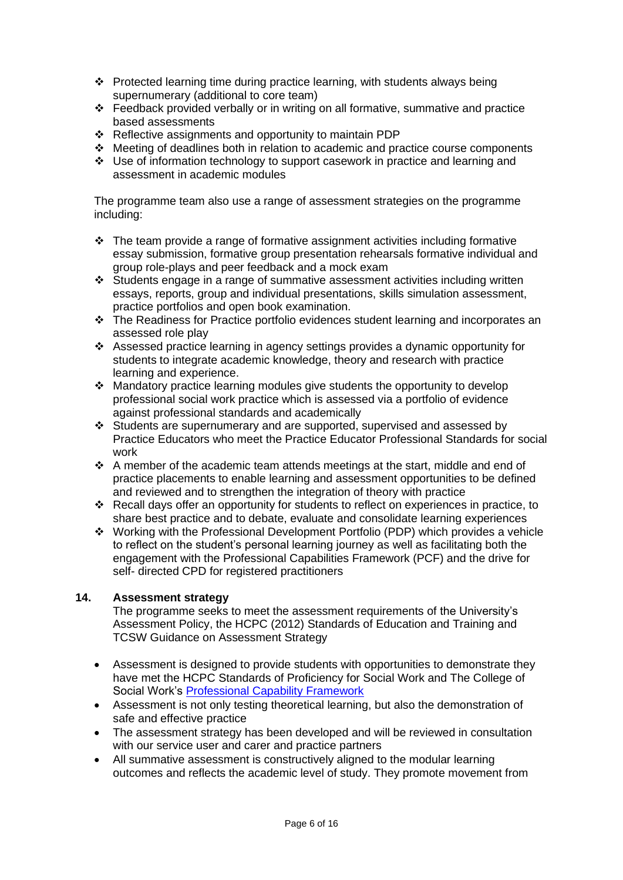- ❖ Protected learning time during practice learning, with students always being supernumerary (additional to core team)
- ❖ Feedback provided verbally or in writing on all formative, summative and practice based assessments
- ❖ Reflective assignments and opportunity to maintain PDP
- ❖ Meeting of deadlines both in relation to academic and practice course components
- ❖ Use of information technology to support casework in practice and learning and assessment in academic modules

The programme team also use a range of assessment strategies on the programme including:

- ❖ The team provide a range of formative assignment activities including formative essay submission, formative group presentation rehearsals formative individual and group role-plays and peer feedback and a mock exam
- ❖ Students engage in a range of summative assessment activities including written essays, reports, group and individual presentations, skills simulation assessment, practice portfolios and open book examination.
- ❖ The Readiness for Practice portfolio evidences student learning and incorporates an assessed role play
- ❖ Assessed practice learning in agency settings provides a dynamic opportunity for students to integrate academic knowledge, theory and research with practice learning and experience.
- ❖ Mandatory practice learning modules give students the opportunity to develop professional social work practice which is assessed via a portfolio of evidence against professional standards and academically
- ❖ Students are supernumerary and are supported, supervised and assessed by Practice Educators who meet the Practice Educator Professional Standards for social work
- ❖ A member of the academic team attends meetings at the start, middle and end of practice placements to enable learning and assessment opportunities to be defined and reviewed and to strengthen the integration of theory with practice
- ❖ Recall days offer an opportunity for students to reflect on experiences in practice, to share best practice and to debate, evaluate and consolidate learning experiences
- ❖ Working with the Professional Development Portfolio (PDP) which provides a vehicle to reflect on the student's personal learning journey as well as facilitating both the engagement with the Professional Capabilities Framework (PCF) and the drive for self- directed CPD for registered practitioners

### **14. Assessment strategy**

The programme seeks to meet the assessment requirements of the University's Assessment Policy, the HCPC (2012) Standards of Education and Training and TCSW Guidance on Assessment Strategy

- Assessment is designed to provide students with opportunities to demonstrate they have met the HCPC Standards of Proficiency for Social Work and The College of Social Work's [Professional Capability Framework](https://www.basw.co.uk/pcf/)
- Assessment is not only testing theoretical learning, but also the demonstration of safe and effective practice
- The assessment strategy has been developed and will be reviewed in consultation with our service user and carer and practice partners
- All summative assessment is constructively aligned to the modular learning outcomes and reflects the academic level of study. They promote movement from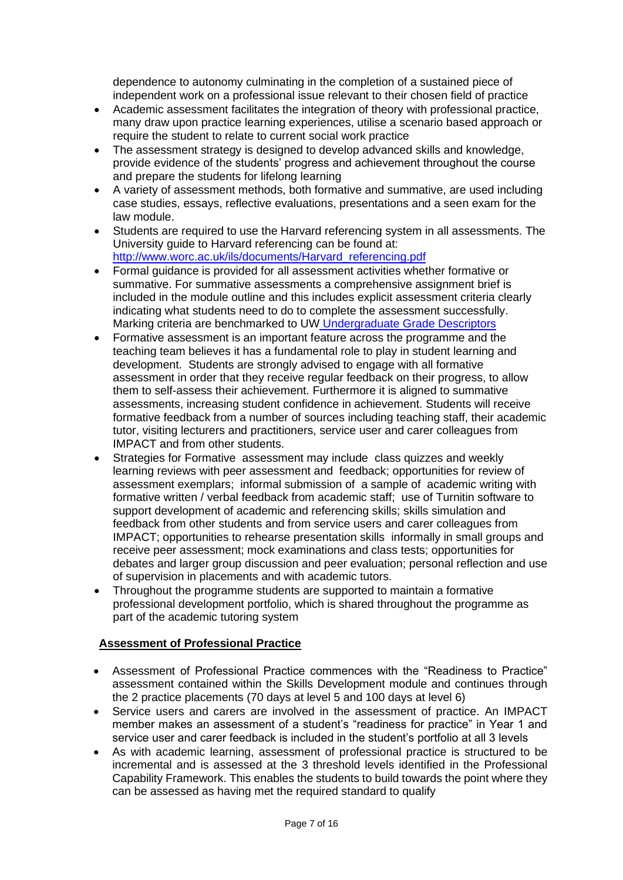dependence to autonomy culminating in the completion of a sustained piece of independent work on a professional issue relevant to their chosen field of practice

- Academic assessment facilitates the integration of theory with professional practice, many draw upon practice learning experiences, utilise a scenario based approach or require the student to relate to current social work practice
- The assessment strategy is designed to develop advanced skills and knowledge, provide evidence of the students' progress and achievement throughout the course and prepare the students for lifelong learning
- A variety of assessment methods, both formative and summative, are used including case studies, essays, reflective evaluations, presentations and a seen exam for the law module.
- Students are required to use the Harvard referencing system in all assessments. The University guide to Harvard referencing can be found at: [http://www.worc.ac.uk/ils/documents/Harvard\\_referencing.pdf](http://www.worc.ac.uk/ils/documents/Harvard_referencing.pdf)
- Formal guidance is provided for all assessment activities whether formative or summative. For summative assessments a comprehensive assignment brief is included in the module outline and this includes explicit assessment criteria clearly indicating what students need to do to complete the assessment successfully. Marking criteria are benchmarked to UW [Undergraduate Grade Descriptors](http://www.worc.ac.uk/aqu/documents/Grade_descriptors_-_Level_4-6_UG.pdf)
- Formative assessment is an important feature across the programme and the teaching team believes it has a fundamental role to play in student learning and development. Students are strongly advised to engage with all formative assessment in order that they receive regular feedback on their progress, to allow them to self-assess their achievement. Furthermore it is aligned to summative assessments, increasing student confidence in achievement. Students will receive formative feedback from a number of sources including teaching staff, their academic tutor, visiting lecturers and practitioners, service user and carer colleagues from IMPACT and from other students.
- Strategies for Formative assessment may include class quizzes and weekly learning reviews with peer assessment and feedback; opportunities for review of assessment exemplars; informal submission of a sample of academic writing with formative written / verbal feedback from academic staff; use of Turnitin software to support development of academic and referencing skills; skills simulation and feedback from other students and from service users and carer colleagues from IMPACT; opportunities to rehearse presentation skills informally in small groups and receive peer assessment; mock examinations and class tests; opportunities for debates and larger group discussion and peer evaluation; personal reflection and use of supervision in placements and with academic tutors.
- Throughout the programme students are supported to maintain a formative professional development portfolio, which is shared throughout the programme as part of the academic tutoring system

### **Assessment of Professional Practice**

- Assessment of Professional Practice commences with the "Readiness to Practice" assessment contained within the Skills Development module and continues through the 2 practice placements (70 days at level 5 and 100 days at level 6)
- Service users and carers are involved in the assessment of practice. An IMPACT member makes an assessment of a student's "readiness for practice" in Year 1 and service user and carer feedback is included in the student's portfolio at all 3 levels
- As with academic learning, assessment of professional practice is structured to be incremental and is assessed at the 3 threshold levels identified in the Professional Capability Framework. This enables the students to build towards the point where they can be assessed as having met the required standard to qualify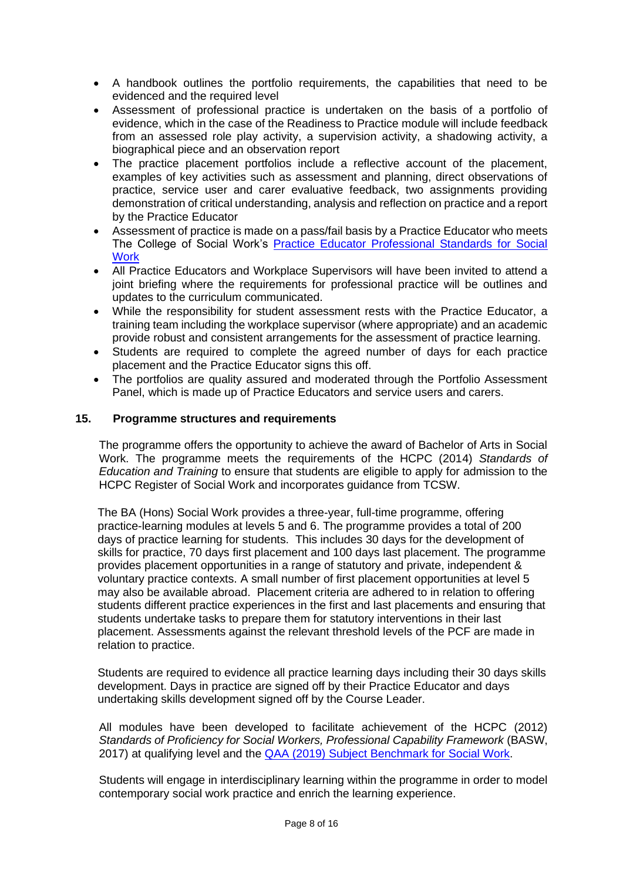- A handbook outlines the portfolio requirements, the capabilities that need to be evidenced and the required level
- Assessment of professional practice is undertaken on the basis of a portfolio of evidence, which in the case of the Readiness to Practice module will include feedback from an assessed role play activity, a supervision activity, a shadowing activity, a biographical piece and an observation report
- The practice placement portfolios include a reflective account of the placement, examples of key activities such as assessment and planning, direct observations of practice, service user and carer evaluative feedback, two assignments providing demonstration of critical understanding, analysis and reflection on practice and a report by the Practice Educator
- Assessment of practice is made on a pass/fail basis by a Practice Educator who meets The College of Social Work's [Practice Educator Professional Standards for Social](https://www.basw.co.uk/resource/?id=4784)  **Work**
- All Practice Educators and Workplace Supervisors will have been invited to attend a joint briefing where the requirements for professional practice will be outlines and updates to the curriculum communicated.
- While the responsibility for student assessment rests with the Practice Educator, a training team including the workplace supervisor (where appropriate) and an academic provide robust and consistent arrangements for the assessment of practice learning.
- Students are required to complete the agreed number of days for each practice placement and the Practice Educator signs this off.
- The portfolios are quality assured and moderated through the Portfolio Assessment Panel, which is made up of Practice Educators and service users and carers.

### **15. Programme structures and requirements**

The programme offers the opportunity to achieve the award of Bachelor of Arts in Social Work. The programme meets the requirements of the HCPC (2014) *Standards of Education and Training* to ensure that students are eligible to apply for admission to the HCPC Register of Social Work and incorporates guidance from TCSW.

The BA (Hons) Social Work provides a three-year, full-time programme, offering practice-learning modules at levels 5 and 6. The programme provides a total of 200 days of practice learning for students. This includes 30 days for the development of skills for practice, 70 days first placement and 100 days last placement. The programme provides placement opportunities in a range of statutory and private, independent & voluntary practice contexts. A small number of first placement opportunities at level 5 may also be available abroad. Placement criteria are adhered to in relation to offering students different practice experiences in the first and last placements and ensuring that students undertake tasks to prepare them for statutory interventions in their last placement. Assessments against the relevant threshold levels of the PCF are made in relation to practice.

Students are required to evidence all practice learning days including their 30 days skills development. Days in practice are signed off by their Practice Educator and days undertaking skills development signed off by the Course Leader.

All modules have been developed to facilitate achievement of the HCPC (2012) *Standards of Proficiency for Social Workers, Professional Capability Framework* (BASW, 2017) at qualifying level and the [QAA \(2019\) Subject Benchmark for](https://www.qaa.ac.uk/docs/qaa/subject-benchmark-statements/subject-benchmark-statement-social-work.pdf?sfvrsn=5c35c881_6) Social Work.

Students will engage in interdisciplinary learning within the programme in order to model contemporary social work practice and enrich the learning experience.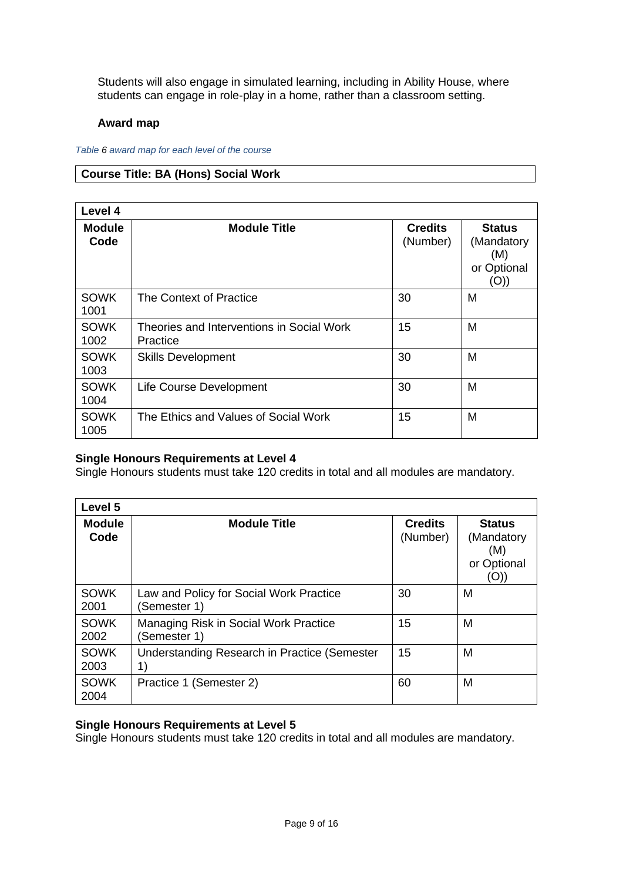Students will also engage in simulated learning, including in Ability House, where students can engage in role-play in a home, rather than a classroom setting.

### **Award map**

*Table 6 award map for each level of the course*

### **Course Title: BA (Hons) Social Work**

| Level 4               |                                                       |                            |                                                           |
|-----------------------|-------------------------------------------------------|----------------------------|-----------------------------------------------------------|
| <b>Module</b><br>Code | <b>Module Title</b>                                   | <b>Credits</b><br>(Number) | <b>Status</b><br>(Mandatory<br>(M)<br>or Optional<br>(O)) |
| <b>SOWK</b><br>1001   | The Context of Practice                               | 30                         | M                                                         |
| <b>SOWK</b><br>1002   | Theories and Interventions in Social Work<br>Practice | 15                         | M                                                         |
| <b>SOWK</b><br>1003   | <b>Skills Development</b>                             | 30                         | M                                                         |
| <b>SOWK</b><br>1004   | Life Course Development                               | 30                         | M                                                         |
| <b>SOWK</b><br>1005   | The Ethics and Values of Social Work                  | 15                         | M                                                         |

### **Single Honours Requirements at Level 4**

Single Honours students must take 120 credits in total and all modules are mandatory.

| Level 5               |                                                                                                |                            |                                                           |
|-----------------------|------------------------------------------------------------------------------------------------|----------------------------|-----------------------------------------------------------|
| <b>Module</b><br>Code | <b>Module Title</b>                                                                            | <b>Credits</b><br>(Number) | <b>Status</b><br>(Mandatory<br>(M)<br>or Optional<br>(O)) |
| <b>SOWK</b><br>2001   | Law and Policy for Social Work Practice<br>(Semester 1)                                        | 30                         | М                                                         |
| <b>SOWK</b><br>2002   | Managing Risk in Social Work Practice<br>(Semester 1)                                          | 15                         | M                                                         |
| <b>SOWK</b><br>2003   | Understanding Research in Practice (Semester<br>$\left( \begin{matrix} 1 \end{matrix} \right)$ | 15                         | M                                                         |
| <b>SOWK</b><br>2004   | Practice 1 (Semester 2)                                                                        | 60                         | M                                                         |

# **Single Honours Requirements at Level 5**

Single Honours students must take 120 credits in total and all modules are mandatory.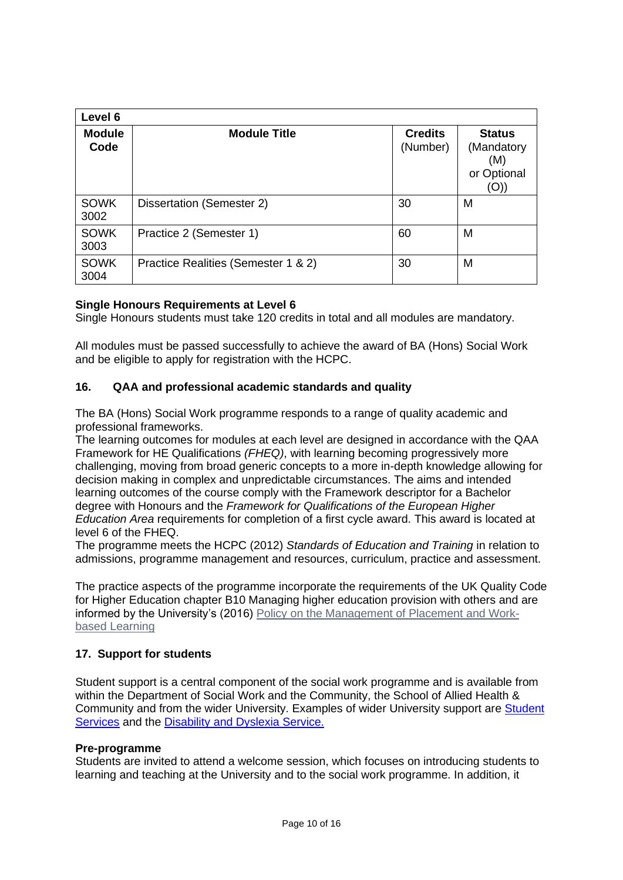| Level 6               |                                     |                            |                                                          |
|-----------------------|-------------------------------------|----------------------------|----------------------------------------------------------|
| <b>Module</b><br>Code | <b>Module Title</b>                 | <b>Credits</b><br>(Number) | <b>Status</b><br>(Mandatory<br>(M)<br>or Optional<br>(O) |
| <b>SOWK</b><br>3002   | Dissertation (Semester 2)           | 30                         | M                                                        |
| <b>SOWK</b><br>3003   | Practice 2 (Semester 1)             | 60                         | M                                                        |
| <b>SOWK</b><br>3004   | Practice Realities (Semester 1 & 2) | 30                         | M                                                        |

### **Single Honours Requirements at Level 6**

Single Honours students must take 120 credits in total and all modules are mandatory.

All modules must be passed successfully to achieve the award of BA (Hons) Social Work and be eligible to apply for registration with the HCPC.

### **16. QAA and professional academic standards and quality**

The BA (Hons) Social Work programme responds to a range of quality academic and professional frameworks.

The learning outcomes for modules at each level are designed in accordance with the QAA Framework for HE Qualifications *(FHEQ)*, with learning becoming progressively more challenging, moving from broad generic concepts to a more in-depth knowledge allowing for decision making in complex and unpredictable circumstances. The aims and intended learning outcomes of the course comply with the Framework descriptor for a Bachelor degree with Honours and the *Framework for Qualifications of the European Higher Education Area* requirements for completion of a first cycle award. This award is located at level 6 of the FHEQ.

The programme meets the HCPC (2012) *Standards of Education and Training* in relation to admissions, programme management and resources, curriculum, practice and assessment.

The practice aspects of the programme incorporate the requirements of the UK Quality Code for Higher Education chapter B10 Managing higher education provision with others and are informed by the University's (2016) [Policy on the Management of](http://www.worc.ac.uk/aqu/documents/UW_Policy_for_Management_of_Placement_and_WBL.pdf) Placement and Work[based Learning](http://www.worc.ac.uk/aqu/documents/UW_Policy_for_Management_of_Placement_and_WBL.pdf)

# **17. Support for students**

Student support is a central component of the social work programme and is available from within the Department of Social Work and the Community, the School of Allied Health & Community and from the wider University. Examples of wider University support are [Student](http://www.worcester.ac.uk/student-services/index.htm)  [Services](http://www.worcester.ac.uk/student-services/index.htm) and the [Disability and Dyslexia Service.](https://www2.worc.ac.uk/disabilityanddyslexia/)

### **Pre-programme**

Students are invited to attend a welcome session, which focuses on introducing students to learning and teaching at the University and to the social work programme. In addition, it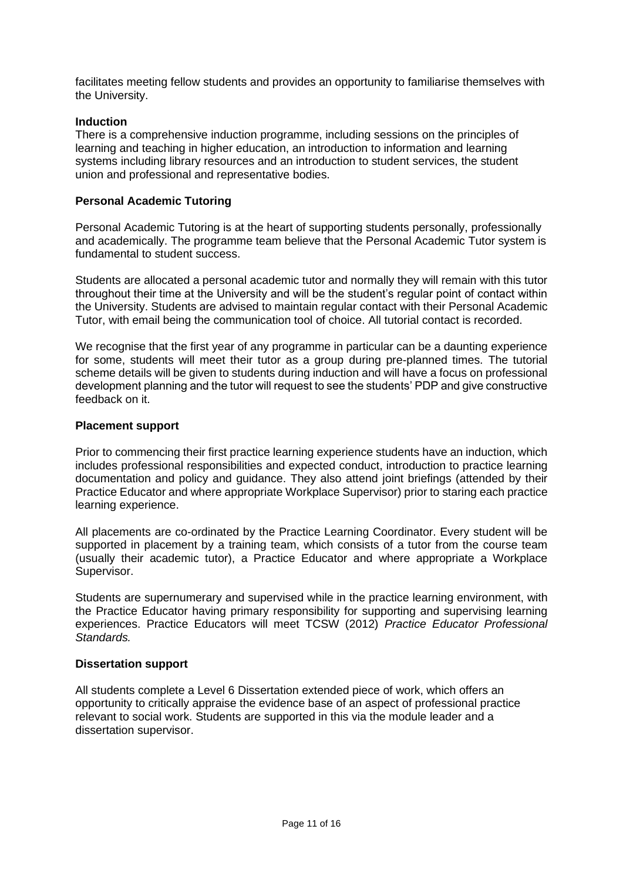facilitates meeting fellow students and provides an opportunity to familiarise themselves with the University.

### **Induction**

There is a comprehensive induction programme, including sessions on the principles of learning and teaching in higher education, an introduction to information and learning systems including library resources and an introduction to student services, the student union and professional and representative bodies.

### **Personal Academic Tutoring**

Personal Academic Tutoring is at the heart of supporting students personally, professionally and academically. The programme team believe that the Personal Academic Tutor system is fundamental to student success.

Students are allocated a personal academic tutor and normally they will remain with this tutor throughout their time at the University and will be the student's regular point of contact within the University. Students are advised to maintain regular contact with their Personal Academic Tutor, with email being the communication tool of choice. All tutorial contact is recorded.

We recognise that the first year of any programme in particular can be a daunting experience for some, students will meet their tutor as a group during pre-planned times. The tutorial scheme details will be given to students during induction and will have a focus on professional development planning and the tutor will request to see the students' PDP and give constructive feedback on it.

### **Placement support**

Prior to commencing their first practice learning experience students have an induction, which includes professional responsibilities and expected conduct, introduction to practice learning documentation and policy and guidance. They also attend joint briefings (attended by their Practice Educator and where appropriate Workplace Supervisor) prior to staring each practice learning experience.

All placements are co-ordinated by the Practice Learning Coordinator. Every student will be supported in placement by a training team, which consists of a tutor from the course team (usually their academic tutor), a Practice Educator and where appropriate a Workplace Supervisor.

Students are supernumerary and supervised while in the practice learning environment, with the Practice Educator having primary responsibility for supporting and supervising learning experiences. Practice Educators will meet TCSW (2012) *Practice Educator Professional Standards.*

#### **Dissertation support**

All students complete a Level 6 Dissertation extended piece of work, which offers an opportunity to critically appraise the evidence base of an aspect of professional practice relevant to social work. Students are supported in this via the module leader and a dissertation supervisor.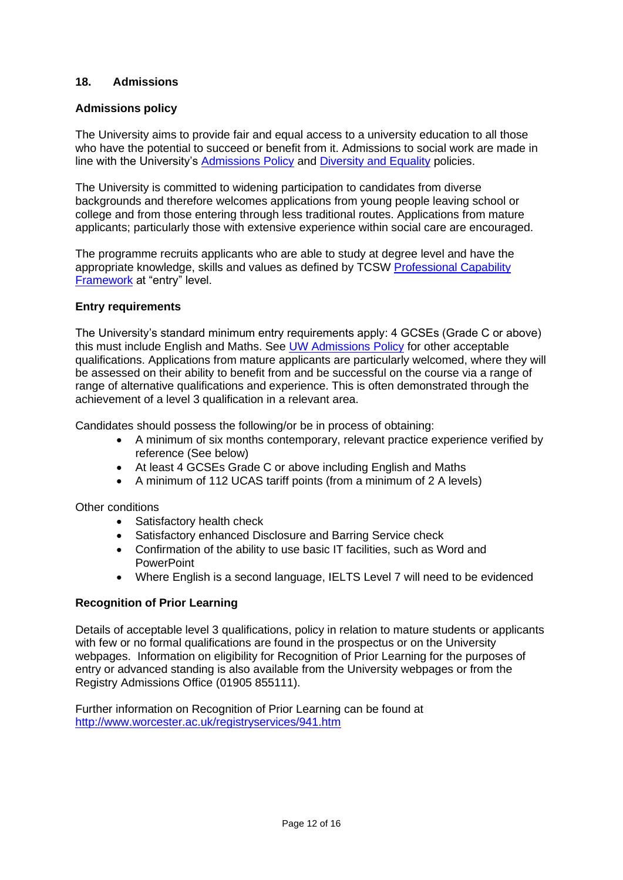### **18. Admissions**

### **Admissions policy**

The University aims to provide fair and equal access to a university education to all those who have the potential to succeed or benefit from it. Admissions to social work are made in line with the University's [Admissions Policy](http://www.worcester.ac.uk/registryservices/documents/AdmissionsPolicy.pdf) and [Diversity and Equality](http://www.worc.ac.uk/personnel/655.htm) policies.

The University is committed to widening participation to candidates from diverse backgrounds and therefore welcomes applications from young people leaving school or college and from those entering through less traditional routes. Applications from mature applicants; particularly those with extensive experience within social care are encouraged.

The programme recruits applicants who are able to study at degree level and have the appropriate knowledge, skills and values as defined by TCSW [Professional Capability](https://www.basw.co.uk/pcf/)  [Framework](https://www.basw.co.uk/pcf/) at "entry" level.

### **Entry requirements**

The University's standard minimum entry requirements apply: 4 GCSEs (Grade C or above) this must include English and Maths. See [UW Admissions Policy](http://www.worcester.ac.uk/registryservices/documents/AdmissionsPolicy.pdf) for other acceptable qualifications. Applications from mature applicants are particularly welcomed, where they will be assessed on their ability to benefit from and be successful on the course via a range of range of alternative qualifications and experience. This is often demonstrated through the achievement of a level 3 qualification in a relevant area.

Candidates should possess the following/or be in process of obtaining:

- A minimum of six months contemporary, relevant practice experience verified by reference (See below)
- At least 4 GCSEs Grade C or above including English and Maths
- A minimum of 112 UCAS tariff points (from a minimum of 2 A levels)

#### Other conditions

- Satisfactory health check
- Satisfactory enhanced Disclosure and Barring Service check
- Confirmation of the ability to use basic IT facilities, such as Word and **PowerPoint**
- Where English is a second language, IELTS Level 7 will need to be evidenced

### **Recognition of Prior Learning**

Details of acceptable level 3 qualifications, policy in relation to mature students or applicants with few or no formal qualifications are found in the prospectus or on the University webpages. Information on eligibility for Recognition of Prior Learning for the purposes of entry or advanced standing is also available from the University webpages or from the Registry Admissions Office (01905 855111).

Further information on Recognition of Prior Learning can be found at <http://www.worcester.ac.uk/registryservices/941.htm>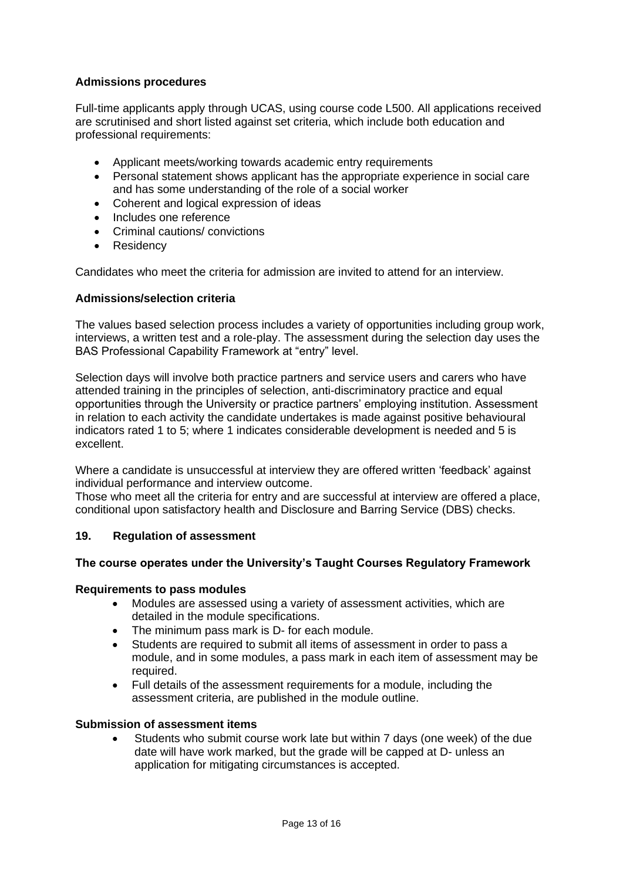### **Admissions procedures**

Full-time applicants apply through UCAS, using course code L500. All applications received are scrutinised and short listed against set criteria, which include both education and professional requirements:

- Applicant meets/working towards academic entry requirements
- Personal statement shows applicant has the appropriate experience in social care and has some understanding of the role of a social worker
- Coherent and logical expression of ideas
- Includes one reference
- Criminal cautions/ convictions
- Residency

Candidates who meet the criteria for admission are invited to attend for an interview.

### **Admissions/selection criteria**

The values based selection process includes a variety of opportunities including group work, interviews, a written test and a role-play. The assessment during the selection day uses the BAS Professional Capability Framework at "entry" level.

Selection days will involve both practice partners and service users and carers who have attended training in the principles of selection, anti-discriminatory practice and equal opportunities through the University or practice partners' employing institution. Assessment in relation to each activity the candidate undertakes is made against positive behavioural indicators rated 1 to 5; where 1 indicates considerable development is needed and 5 is excellent.

Where a candidate is unsuccessful at interview they are offered written 'feedback' against individual performance and interview outcome.

Those who meet all the criteria for entry and are successful at interview are offered a place, conditional upon satisfactory health and Disclosure and Barring Service (DBS) checks.

### **19. Regulation of assessment**

### **The course operates under the University's Taught Courses Regulatory Framework**

#### **Requirements to pass modules**

- Modules are assessed using a variety of assessment activities, which are detailed in the module specifications.
- The minimum pass mark is D- for each module.
- Students are required to submit all items of assessment in order to pass a module, and in some modules, a pass mark in each item of assessment may be required.
- Full details of the assessment requirements for a module, including the assessment criteria, are published in the module outline.

### **Submission of assessment items**

• Students who submit course work late but within 7 days (one week) of the due date will have work marked, but the grade will be capped at D- unless an application for mitigating circumstances is accepted.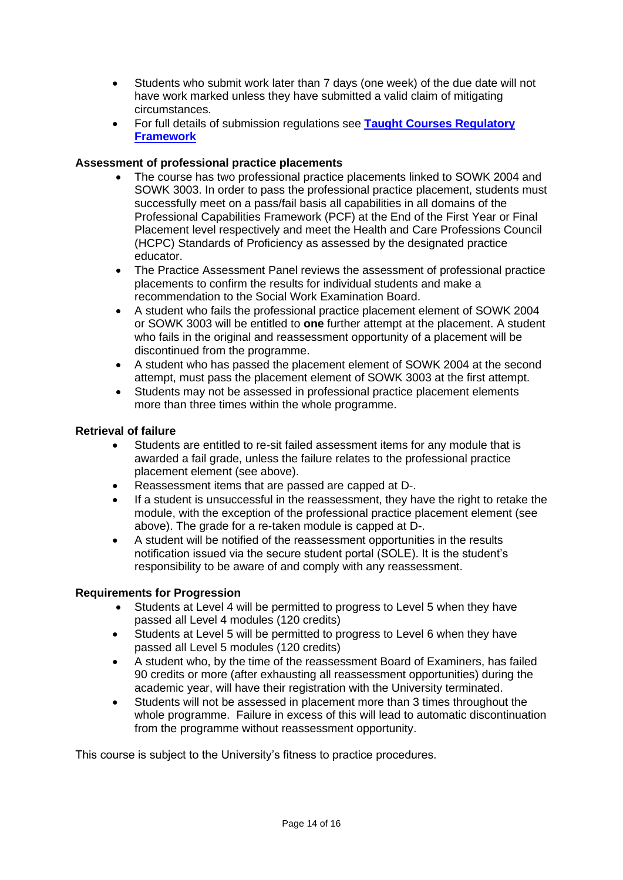- Students who submit work later than 7 days (one week) of the due date will not have work marked unless they have submitted a valid claim of mitigating circumstances.
- For full details of submission regulations see **[Taught Courses Regulatory](http://www.worcester.ac.uk/registryservices/documents/TaughtCoursesRegulatoryFramework.pdf)  [Framework](http://www.worcester.ac.uk/registryservices/documents/TaughtCoursesRegulatoryFramework.pdf)**

# **Assessment of professional practice placements**

- The course has two professional practice placements linked to SOWK 2004 and SOWK 3003. In order to pass the professional practice placement, students must successfully meet on a pass/fail basis all capabilities in all domains of the Professional Capabilities Framework (PCF) at the End of the First Year or Final Placement level respectively and meet the Health and Care Professions Council (HCPC) Standards of Proficiency as assessed by the designated practice educator.
- The Practice Assessment Panel reviews the assessment of professional practice placements to confirm the results for individual students and make a recommendation to the Social Work Examination Board.
- A student who fails the professional practice placement element of SOWK 2004 or SOWK 3003 will be entitled to **one** further attempt at the placement. A student who fails in the original and reassessment opportunity of a placement will be discontinued from the programme.
- A student who has passed the placement element of SOWK 2004 at the second attempt, must pass the placement element of SOWK 3003 at the first attempt.
- Students may not be assessed in professional practice placement elements more than three times within the whole programme.

### **Retrieval of failure**

- Students are entitled to re-sit failed assessment items for any module that is awarded a fail grade, unless the failure relates to the professional practice placement element (see above).
- Reassessment items that are passed are capped at D-.
- If a student is unsuccessful in the reassessment, they have the right to retake the module, with the exception of the professional practice placement element (see above). The grade for a re-taken module is capped at D-.
- A student will be notified of the reassessment opportunities in the results notification issued via the secure student portal (SOLE). It is the student's responsibility to be aware of and comply with any reassessment.

### **Requirements for Progression**

- Students at Level 4 will be permitted to progress to Level 5 when they have passed all Level 4 modules (120 credits)
- Students at Level 5 will be permitted to progress to Level 6 when they have passed all Level 5 modules (120 credits)
- A student who, by the time of the reassessment Board of Examiners, has failed 90 credits or more (after exhausting all reassessment opportunities) during the academic year, will have their registration with the University terminated.
- Students will not be assessed in placement more than 3 times throughout the whole programme. Failure in excess of this will lead to automatic discontinuation from the programme without reassessment opportunity.

This course is subject to the University's fitness to practice procedures.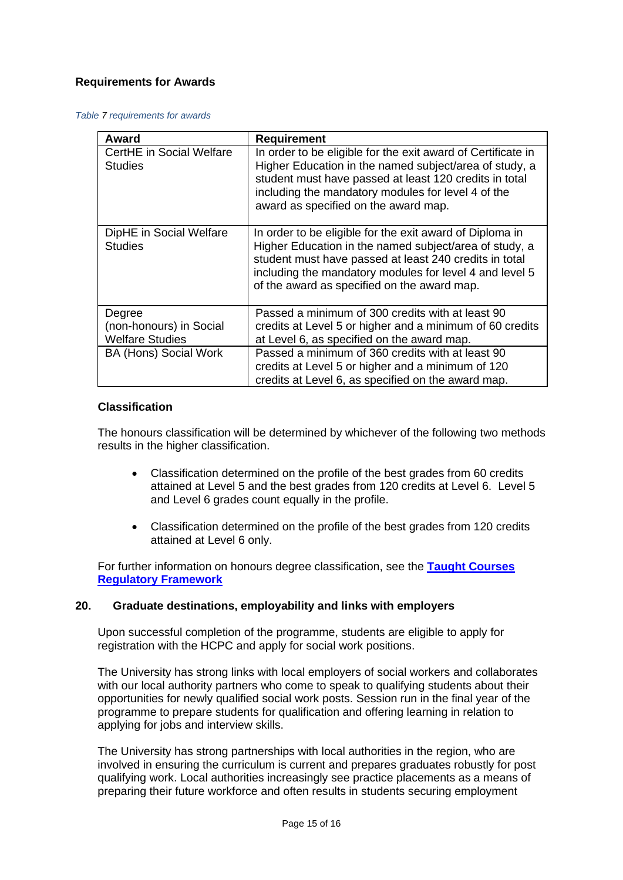### **Requirements for Awards**

#### *Table 7 requirements for awards*

| Award                                                       | <b>Requirement</b>                                                                                                                                                                                                                                                                     |
|-------------------------------------------------------------|----------------------------------------------------------------------------------------------------------------------------------------------------------------------------------------------------------------------------------------------------------------------------------------|
| CertHE in Social Welfare<br><b>Studies</b>                  | In order to be eligible for the exit award of Certificate in<br>Higher Education in the named subject/area of study, a<br>student must have passed at least 120 credits in total<br>including the mandatory modules for level 4 of the<br>award as specified on the award map.         |
| DipHE in Social Welfare<br><b>Studies</b>                   | In order to be eligible for the exit award of Diploma in<br>Higher Education in the named subject/area of study, a<br>student must have passed at least 240 credits in total<br>including the mandatory modules for level 4 and level 5<br>of the award as specified on the award map. |
| Degree<br>(non-honours) in Social<br><b>Welfare Studies</b> | Passed a minimum of 300 credits with at least 90<br>credits at Level 5 or higher and a minimum of 60 credits<br>at Level 6, as specified on the award map.                                                                                                                             |
| <b>BA (Hons) Social Work</b>                                | Passed a minimum of 360 credits with at least 90<br>credits at Level 5 or higher and a minimum of 120<br>credits at Level 6, as specified on the award map.                                                                                                                            |

### **Classification**

The honours classification will be determined by whichever of the following two methods results in the higher classification.

- Classification determined on the profile of the best grades from 60 credits attained at Level 5 and the best grades from 120 credits at Level 6. Level 5 and Level 6 grades count equally in the profile.
- Classification determined on the profile of the best grades from 120 credits attained at Level 6 only.

For further information on honours degree classification, see the **[Taught Courses](http://www.worcester.ac.uk/registryservices/documents/TaughtCoursesRegulatoryFramework.pdf)  [Regulatory Framework](http://www.worcester.ac.uk/registryservices/documents/TaughtCoursesRegulatoryFramework.pdf)**

#### **20. Graduate destinations, employability and links with employers**

Upon successful completion of the programme, students are eligible to apply for registration with the HCPC and apply for social work positions.

The University has strong links with local employers of social workers and collaborates with our local authority partners who come to speak to qualifying students about their opportunities for newly qualified social work posts. Session run in the final year of the programme to prepare students for qualification and offering learning in relation to applying for jobs and interview skills.

The University has strong partnerships with local authorities in the region, who are involved in ensuring the curriculum is current and prepares graduates robustly for post qualifying work. Local authorities increasingly see practice placements as a means of preparing their future workforce and often results in students securing employment